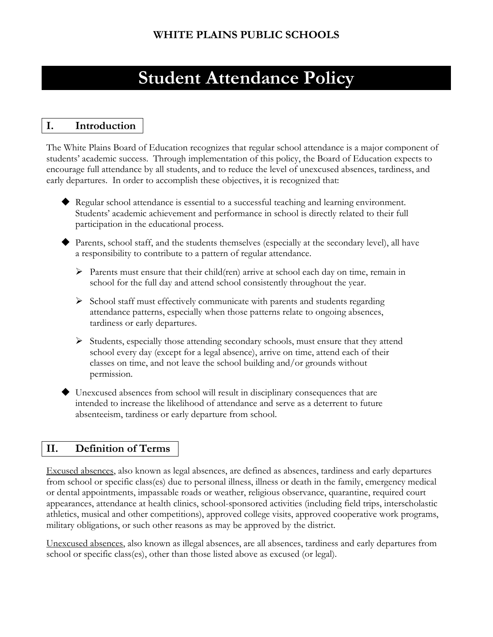# **Student Attendance Policy**

# **I. Introduction**

The White Plains Board of Education recognizes that regular school attendance is a major component of students' academic success. Through implementation of this policy, the Board of Education expects to encourage full attendance by all students, and to reduce the level of unexcused absences, tardiness, and early departures. In order to accomplish these objectives, it is recognized that:

- Regular school attendance is essential to a successful teaching and learning environment. Students' academic achievement and performance in school is directly related to their full participation in the educational process.
- Parents, school staff, and the students themselves (especially at the secondary level), all have a responsibility to contribute to a pattern of regular attendance.
	- Parents must ensure that their child(ren) arrive at school each day on time, remain in school for the full day and attend school consistently throughout the year.
	- $\triangleright$  School staff must effectively communicate with parents and students regarding attendance patterns, especially when those patterns relate to ongoing absences, tardiness or early departures.
	- $\triangleright$  Students, especially those attending secondary schools, must ensure that they attend school every day (except for a legal absence), arrive on time, attend each of their classes on time, and not leave the school building and/or grounds without permission.
- Unexcused absences from school will result in disciplinary consequences that are intended to increase the likelihood of attendance and serve as a deterrent to future absenteeism, tardiness or early departure from school.

## **II. Definition of Terms**

Excused absences, also known as legal absences, are defined as absences, tardiness and early departures from school or specific class(es) due to personal illness, illness or death in the family, emergency medical or dental appointments, impassable roads or weather, religious observance, quarantine, required court appearances, attendance at health clinics, school-sponsored activities (including field trips, interscholastic athletics, musical and other competitions), approved college visits, approved cooperative work programs, military obligations, or such other reasons as may be approved by the district.

Unexcused absences, also known as illegal absences, are all absences, tardiness and early departures from school or specific class(es), other than those listed above as excused (or legal).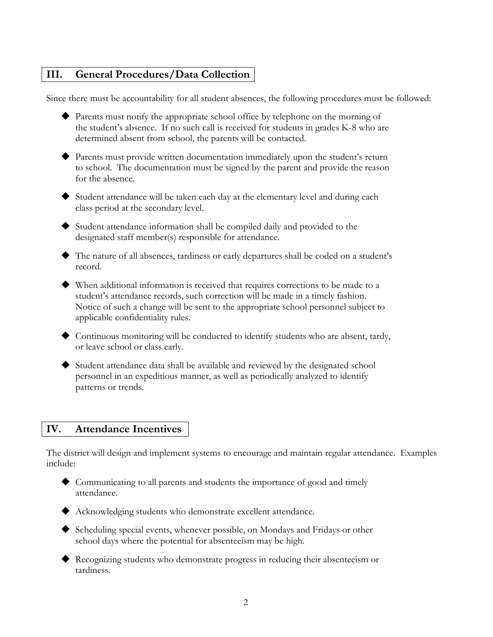#### **III. General Procedures/Data Collection**

Since there must be accountability for all student absences, the following procedures must be followed:

- Parents must notify the appropriate school office by telephone on the morning of the student's absence. If no such call is received for students in grades K-8 who are determined absent from school, the parents will be contacted.
- Parents must provide written documentation immediately upon the student's return to school. The documentation must be signed by the parent and provide the reason for the absence.
- Student attendance will be taken each day at the elementary level and during each class period at the secondary level.
- Student attendance information shall be compiled daily and provided to the designated staff member(s) responsible for attendance.
- The nature of all absences, tardiness or early departures shall be coded on a student's record.
- When additional information is received that requires corrections to be made to a student's attendance records, such correction will be made in a timely fashion. Notice of such a change will be sent to the appropriate school personnel subject to applicable confidentiality rules.
- Continuous monitoring will be conducted to identify students who are absent, tardy, or leave school or class early.
- Student attendance data shall be available and reviewed by the designated school personnel in an expeditious manner, as well as periodically analyzed to identify patterns or trends.

#### **IV. Attendance Incentives**

The district will design and implement systems to encourage and maintain regular attendance. Examples include:

- Communicating to all parents and students the importance of good and timely attendance.
- Acknowledging students who demonstrate excellent attendance.
- Scheduling special events, whenever possible, on Mondays and Fridays or other school days where the potential for absenteeism may be high.
- Recognizing students who demonstrate progress in reducing their absenteeism or tardiness.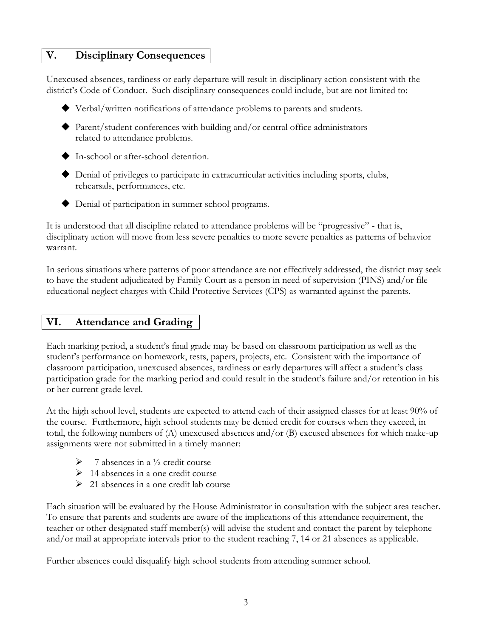#### **V. Disciplinary Consequences**

Unexcused absences, tardiness or early departure will result in disciplinary action consistent with the district's Code of Conduct. Such disciplinary consequences could include, but are not limited to:

- Verbal/written notifications of attendance problems to parents and students.
- Parent/student conferences with building and/or central office administrators related to attendance problems.
- ◆ In-school or after-school detention.
- Denial of privileges to participate in extracurricular activities including sports, clubs, rehearsals, performances, etc.
- ◆ Denial of participation in summer school programs.

It is understood that all discipline related to attendance problems will be "progressive" - that is, disciplinary action will move from less severe penalties to more severe penalties as patterns of behavior warrant.

In serious situations where patterns of poor attendance are not effectively addressed, the district may seek to have the student adjudicated by Family Court as a person in need of supervision (PINS) and/or file educational neglect charges with Child Protective Services (CPS) as warranted against the parents.

## **VI. Attendance and Grading**

Each marking period, a student's final grade may be based on classroom participation as well as the student's performance on homework, tests, papers, projects, etc. Consistent with the importance of classroom participation, unexcused absences, tardiness or early departures will affect a student's class participation grade for the marking period and could result in the student's failure and/or retention in his or her current grade level.

At the high school level, students are expected to attend each of their assigned classes for at least 90% of the course. Furthermore, high school students may be denied credit for courses when they exceed, in total, the following numbers of (A) unexcused absences and/or (B) excused absences for which make-up assignments were not submitted in a timely manner:

- $\triangleright$  7 absences in a  $\frac{1}{2}$  credit course
- $\geq 14$  absences in a one credit course
- $\geq$  21 absences in a one credit lab course

Each situation will be evaluated by the House Administrator in consultation with the subject area teacher. To ensure that parents and students are aware of the implications of this attendance requirement, the teacher or other designated staff member(s) will advise the student and contact the parent by telephone and/or mail at appropriate intervals prior to the student reaching 7, 14 or 21 absences as applicable.

Further absences could disqualify high school students from attending summer school.